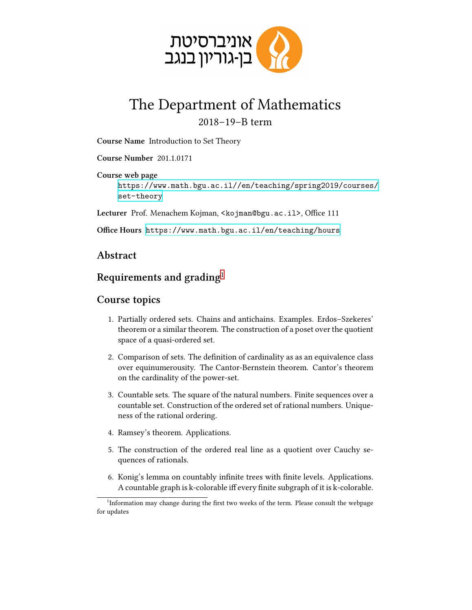

## The Department of Mathematics 2018–19–B term

**Course Name** Introduction to Set Theory

**Course Number** 201 .1 .0171

**Course web page** [https://www.math.bgu.ac.il//en/teaching/spring2019/courses/](https://www.math.bgu.ac.il//en/teaching/spring2019/courses/set-theory) [set-theory](https://www.math.bgu.ac.il//en/teaching/spring2019/courses/set-theory)

**Lecturer** Prof. Menachem Kojman, <kojman@bgu.ac.il>, Office 111

**Office Hours** <https://www.math.bgu.ac.il/en/teaching/hours>

## **Abstract**

## **Requirements and grading**[1](#page-0-0)

## **Course topics**

- 1. Partially ordered sets. Chains and antichains. Examples. Erdos–Szekeres' theorem or a similar theorem. The construction of a poset over the quotient space of a quasi-ordered set.
- 2. Comparison of sets. The definition of cardinality as as an equivalence class over equinumerousity. The Cantor-Bernstein theorem. Cantor's theorem on the cardinality of the power-set.
- 3. Countable sets. The square of the natural numbers. Finite sequences over a countable set. Construction of the ordered set of rational numbers. Uniqueness of the rational ordering.
- 4. Ramsey's theorem. Applications.
- 5. The construction of the ordered real line as a quotient over Cauchy sequences of rationals.
- 6. Konig's lemma on countably infinite trees with finite levels. Applications. A countable graph is k-colorable iff every finite subgraph of it is k-colorable.

<span id="page-0-0"></span><sup>&</sup>lt;sup>1</sup>Information may change during the first two weeks of the term. Please consult the webpage for updates